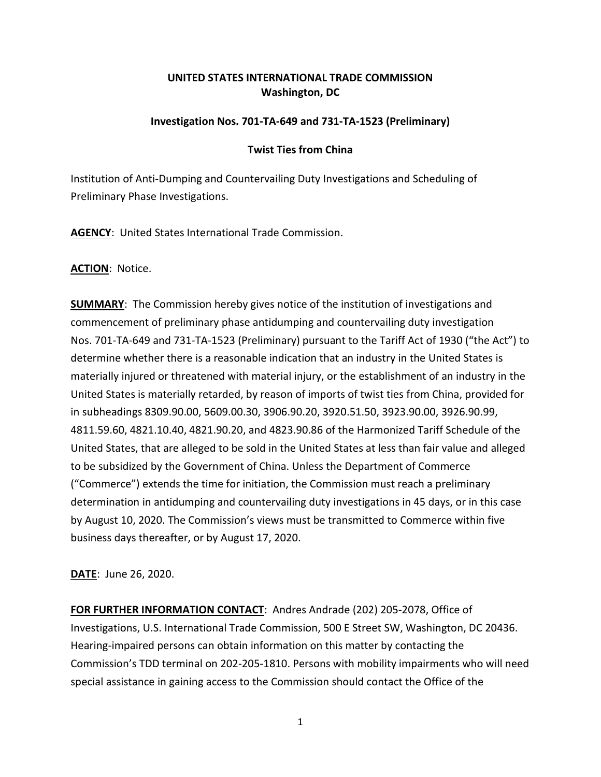## **UNITED STATES INTERNATIONAL TRADE COMMISSION Washington, DC**

## **Investigation Nos. 701-TA-649 and 731-TA-1523 (Preliminary)**

## **Twist Ties from China**

Institution of Anti-Dumping and Countervailing Duty Investigations and Scheduling of Preliminary Phase Investigations.

**AGENCY**: United States International Trade Commission.

**ACTION**: Notice.

**SUMMARY**: The Commission hereby gives notice of the institution of investigations and commencement of preliminary phase antidumping and countervailing duty investigation Nos. 701-TA-649 and 731-TA-1523 (Preliminary) pursuant to the Tariff Act of 1930 ("the Act") to determine whether there is a reasonable indication that an industry in the United States is materially injured or threatened with material injury, or the establishment of an industry in the United States is materially retarded, by reason of imports of twist ties from China, provided for in subheadings 8309.90.00, 5609.00.30, 3906.90.20, 3920.51.50, 3923.90.00, 3926.90.99, 4811.59.60, 4821.10.40, 4821.90.20, and 4823.90.86 of the Harmonized Tariff Schedule of the United States, that are alleged to be sold in the United States at less than fair value and alleged to be subsidized by the Government of China. Unless the Department of Commerce ("Commerce") extends the time for initiation, the Commission must reach a preliminary determination in antidumping and countervailing duty investigations in 45 days, or in this case by August 10, 2020. The Commission's views must be transmitted to Commerce within five business days thereafter, or by August 17, 2020.

**DATE**: June 26, 2020.

**FOR FURTHER INFORMATION CONTACT**: Andres Andrade (202) 205-2078, Office of Investigations, U.S. International Trade Commission, 500 E Street SW, Washington, DC 20436. Hearing-impaired persons can obtain information on this matter by contacting the Commission's TDD terminal on 202-205-1810. Persons with mobility impairments who will need special assistance in gaining access to the Commission should contact the Office of the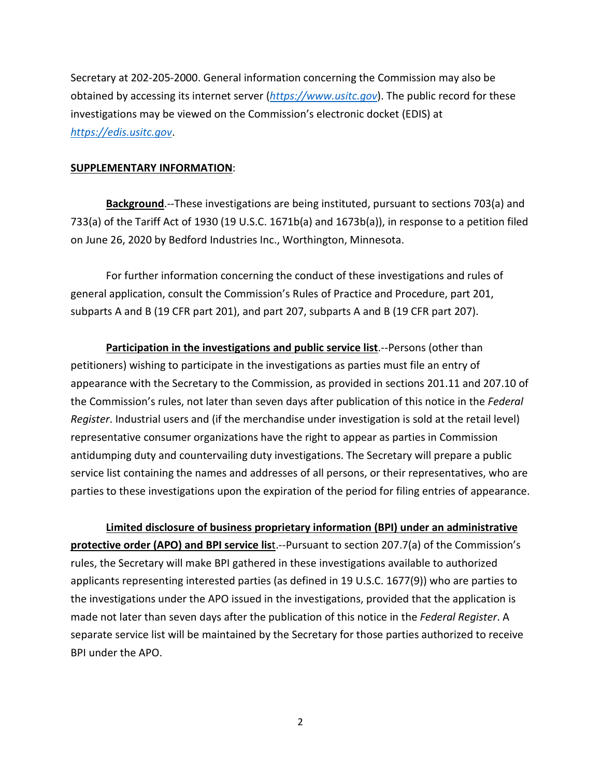Secretary at 202-205-2000. General information concerning the Commission may also be obtained by accessing its internet server (*[https://www.usitc.gov](https://www.usitc.gov/)*). The public record for these investigations may be viewed on the Commission's electronic docket (EDIS) at *[https://edis.usitc.gov](https://edis.usitc.gov/)*.

## **SUPPLEMENTARY INFORMATION**:

**Background**.--These investigations are being instituted, pursuant to sections 703(a) and 733(a) of the Tariff Act of 1930 (19 U.S.C. 1671b(a) and 1673b(a)), in response to a petition filed on June 26, 2020 by Bedford Industries Inc., Worthington, Minnesota.

For further information concerning the conduct of these investigations and rules of general application, consult the Commission's Rules of Practice and Procedure, part 201, subparts A and B (19 CFR part 201), and part 207, subparts A and B (19 CFR part 207).

**Participation in the investigations and public service list**.--Persons (other than petitioners) wishing to participate in the investigations as parties must file an entry of appearance with the Secretary to the Commission, as provided in sections 201.11 and 207.10 of the Commission's rules, not later than seven days after publication of this notice in the *Federal Register*. Industrial users and (if the merchandise under investigation is sold at the retail level) representative consumer organizations have the right to appear as parties in Commission antidumping duty and countervailing duty investigations. The Secretary will prepare a public service list containing the names and addresses of all persons, or their representatives, who are parties to these investigations upon the expiration of the period for filing entries of appearance.

**Limited disclosure of business proprietary information (BPI) under an administrative protective order (APO) and BPI service list**.--Pursuant to section 207.7(a) of the Commission's rules, the Secretary will make BPI gathered in these investigations available to authorized applicants representing interested parties (as defined in 19 U.S.C. 1677(9)) who are parties to the investigations under the APO issued in the investigations, provided that the application is made not later than seven days after the publication of this notice in the *Federal Register*. A separate service list will be maintained by the Secretary for those parties authorized to receive BPI under the APO.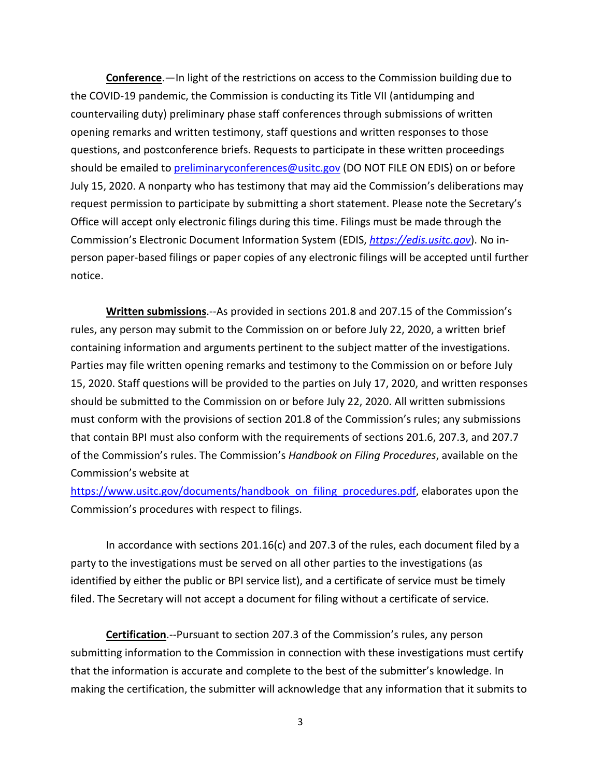**Conference**.—In light of the restrictions on access to the Commission building due to the COVID-19 pandemic, the Commission is conducting its Title VII (antidumping and countervailing duty) preliminary phase staff conferences through submissions of written opening remarks and written testimony, staff questions and written responses to those questions, and postconference briefs. Requests to participate in these written proceedings should be emailed to [preliminaryconferences@usitc.gov](mailto:preliminaryconferences@usitc.gov) (DO NOT FILE ON EDIS) on or before July 15, 2020. A nonparty who has testimony that may aid the Commission's deliberations may request permission to participate by submitting a short statement. Please note the Secretary's Office will accept only electronic filings during this time. Filings must be made through the Commission's Electronic Document Information System (EDIS, *[https://edis.usitc.gov](https://edis.usitc.gov/)*). No inperson paper-based filings or paper copies of any electronic filings will be accepted until further notice.

**Written submissions**.--As provided in sections 201.8 and 207.15 of the Commission's rules, any person may submit to the Commission on or before July 22, 2020, a written brief containing information and arguments pertinent to the subject matter of the investigations. Parties may file written opening remarks and testimony to the Commission on or before July 15, 2020. Staff questions will be provided to the parties on July 17, 2020, and written responses should be submitted to the Commission on or before July 22, 2020. All written submissions must conform with the provisions of section 201.8 of the Commission's rules; any submissions that contain BPI must also conform with the requirements of sections 201.6, 207.3, and 207.7 of the Commission's rules. The Commission's *Handbook on Filing Procedures*, available on the Commission's website at

[https://www.usitc.gov/documents/handbook\\_on\\_filing\\_procedures.pdf,](https://www.usitc.gov/documents/handbook_on_filing_procedures.pdf) elaborates upon the Commission's procedures with respect to filings.

In accordance with sections 201.16(c) and 207.3 of the rules, each document filed by a party to the investigations must be served on all other parties to the investigations (as identified by either the public or BPI service list), and a certificate of service must be timely filed. The Secretary will not accept a document for filing without a certificate of service.

**Certification**.--Pursuant to section 207.3 of the Commission's rules, any person submitting information to the Commission in connection with these investigations must certify that the information is accurate and complete to the best of the submitter's knowledge. In making the certification, the submitter will acknowledge that any information that it submits to